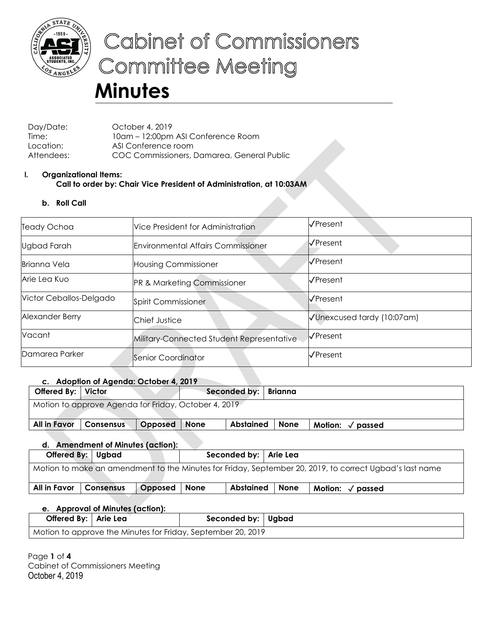

# Cabinet of Commissioners **Committee Meeting**

# **Minutes**

Day/Date: October 4, 2019 Time: 10am – 12:00pm ASI Conference Room Location: ASI Conference room Attendees: COC Commissioners, Damarea, General Public

### **I. Organizational Items: Call to order by: Chair Vice President of Administration, at 10:03AM**

**b. Roll Call**

| Teady Ochoa             | Vice President for Administration         | √Present                   |
|-------------------------|-------------------------------------------|----------------------------|
| Ugbad Farah             | <b>Environmental Affairs Commissioner</b> | √Present                   |
| <b>Brianna Vela</b>     | <b>Housing Commissioner</b>               | KPresent                   |
| Arie Lea Kuo            | PR & Marketing Commissioner               | √Present                   |
| Victor Ceballos-Delgado | Spirit Commissioner                       | VPresent                   |
| Alexander Berry         | Chief Justice                             | √Unexcused tardy (10:07am) |
| Vacant                  | Military-Connected Student Representative | √Present                   |
| Damarea Parker          | Senior Coordinator                        | √Present                   |

# **c. Adoption of Agenda: October 4, 2019**

| Offered By:   Victor                                 |                   |         |             | Seconded by: | Brianna     |                            |  |  |
|------------------------------------------------------|-------------------|---------|-------------|--------------|-------------|----------------------------|--|--|
| Motion to approve Agenda for Friday, October 4, 2019 |                   |         |             |              |             |                            |  |  |
|                                                      |                   |         |             |              |             |                            |  |  |
| All in Favor                                         | <b>Consensus</b>  | Opposed | <b>None</b> | Abstained    | <b>None</b> | Motion: $\sqrt{\ }$ passed |  |  |
| <b>Amendment of Minutes (action):</b><br>d.          |                   |         |             |              |             |                            |  |  |
|                                                      | Offered By: Ugbad |         |             | Seconded by: | Arie Lea    |                            |  |  |

| Motion to make an amendment to the Minutes for Friday, September 20, 2019, to correct Ugbad's last name |                  |                |  |           |             |                            |  |
|---------------------------------------------------------------------------------------------------------|------------------|----------------|--|-----------|-------------|----------------------------|--|
| All in Favor                                                                                            | <b>Consensus</b> | Opposed   None |  | Abstained | <b>None</b> | Motion: $\sqrt{\ }$ passed |  |

# **e. Approval of Minutes (action):**

| Offered By:   Arie Lea                                       |  | Seconded by: Ugbad |  |  |  |  |  |
|--------------------------------------------------------------|--|--------------------|--|--|--|--|--|
| Motion to approve the Minutes for Friday, September 20, 2019 |  |                    |  |  |  |  |  |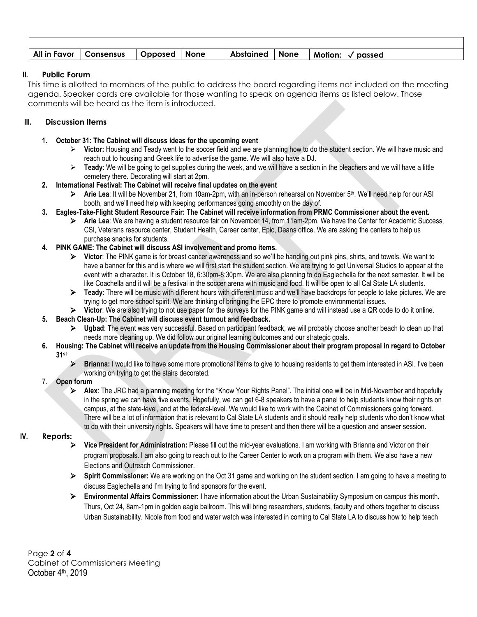| All in Favor   Consensus   Opposed   None |  |  | Abstained   None   Motion: √ passed |
|-------------------------------------------|--|--|-------------------------------------|

#### **II. Public Forum**

This time is allotted to members of the public to address the board regarding items not included on the meeting agenda. Speaker cards are available for those wanting to speak on agenda items as listed below. Those comments will be heard as the item is introduced.

#### **III. Discussion Items**

- **1. October 31: The Cabinet will discuss ideas for the upcoming event**
	- **Victor:** Housing and Teady went to the soccer field and we are planning how to do the student section. We will have music and reach out to housing and Greek life to advertise the game. We will also have a DJ.
	- **Teady**: We will be going to get supplies during the week, and we will have a section in the bleachers and we will have a little cemetery there. Decorating will start at 2pm.
- **2. International Festival: The Cabinet will receive final updates on the event**
	- **EX** Arie Lea: It will be November 21, from 10am-2pm, with an in-person rehearsal on November 5<sup>th</sup>. We'll need help for our ASI booth, and we'll need help with keeping performances going smoothly on the day of.
- **3. Eagles-Take-Flight Student Resource Fair: The Cabinet will receive information from PRMC Commissioner about the event.**
	- **Arie Lea**: We are having a student resource fair on November 14, from 11am-2pm. We have the Center for Academic Success, CSI, Veterans resource center, Student Health, Career center, Epic, Deans office. We are asking the centers to help us purchase snacks for students.
- **4. PINK GAME: The Cabinet will discuss ASI involvement and promo items.**
	- **Victor**: The PINK game is for breast cancer awareness and so we'll be handing out pink pins, shirts, and towels. We want to have a banner for this and is where we will first start the student section. We are trying to get Universal Studios to appear at the event with a character. It is October 18, 6:30pm-8:30pm. We are also planning to do Eaglechella for the next semester. It will be like Coachella and it will be a festival in the soccer arena with music and food. It will be open to all Cal State LA students.
	- **Teady**: There will be music with different hours with different music and we'll have backdrops for people to take pictures. We are trying to get more school spirit. We are thinking of bringing the EPC there to promote environmental issues.
	- **Victor**: We are also trying to not use paper for the surveys for the PINK game and will instead use a QR code to do it online.
- **5. Beach Clean-Up: The Cabinet will discuss event turnout and feedback.**
	- **Ugbad**: The event was very successful. Based on participant feedback, we will probably choose another beach to clean up that needs more cleaning up. We did follow our original learning outcomes and our strategic goals.
- **6. Housing: The Cabinet will receive an update from the Housing Commissioner about their program proposal in regard to October 31st**
	- **Brianna:** I would like to have some more promotional items to give to housing residents to get them interested in ASI. I've been working on trying to get the stairs decorated.
- 7. **Open forum**
	- **Alex**: The JRC had a planning meeting for the "Know Your Rights Panel". The initial one will be in Mid-November and hopefully in the spring we can have five events. Hopefully, we can get 6-8 speakers to have a panel to help students know their rights on campus, at the state-level, and at the federal-level. We would like to work with the Cabinet of Commissioners going forward. There will be a lot of information that is relevant to Cal State LA students and it should really help students who don't know what to do with their university rights. Speakers will have time to present and then there will be a question and answer session.

#### **IV. Reports:**

- **Vice President for Administration:** Please fill out the mid-year evaluations. I am working with Brianna and Victor on their program proposals. I am also going to reach out to the Career Center to work on a program with them. We also have a new Elections and Outreach Commissioner.
- **Spirit Commissioner:** We are working on the Oct 31 game and working on the student section. I am going to have a meeting to discuss Eaglechella and I'm trying to find sponsors for the event.
- **Environmental Affairs Commissioner:** I have information about the Urban Sustainability Symposium on campus this month. Thurs, Oct 24, 8am-1pm in golden eagle ballroom. This will bring researchers, students, faculty and others together to discuss Urban Sustainability. Nicole from food and water watch was interested in coming to Cal State LA to discuss how to help teach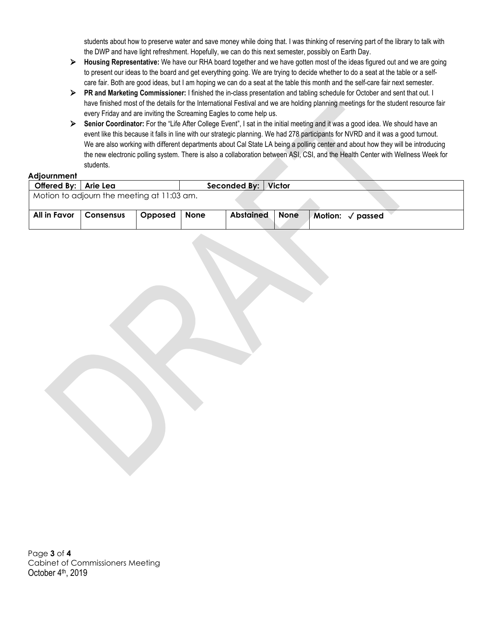students about how to preserve water and save money while doing that. I was thinking of reserving part of the library to talk with the DWP and have light refreshment. Hopefully, we can do this next semester, possibly on Earth Day.

- **Housing Representative:** We have our RHA board together and we have gotten most of the ideas figured out and we are going to present our ideas to the board and get everything going. We are trying to decide whether to do a seat at the table or a selfcare fair. Both are good ideas, but I am hoping we can do a seat at the table this month and the self-care fair next semester.
- **PR and Marketing Commissioner:** I finished the in-class presentation and tabling schedule for October and sent that out. I have finished most of the details for the International Festival and we are holding planning meetings for the student resource fair every Friday and are inviting the Screaming Eagles to come help us.
- **►** Senior Coordinator: For the "Life After College Event", I sat in the initial meeting and it was a good idea. We should have an event like this because it falls in line with our strategic planning. We had 278 participants for NVRD and it was a good turnout. We are also working with different departments about Cal State LA being a polling center and about how they will be introducing the new electronic polling system. There is also a collaboration between ASI, CSI, and the Health Center with Wellness Week for students.

#### **Adjournment**

| Offered By:   Arie Lea                     |           |         |             | Seconded By:   Victor |      |                            |  |  |
|--------------------------------------------|-----------|---------|-------------|-----------------------|------|----------------------------|--|--|
| Motion to adjourn the meeting at 11:03 am. |           |         |             |                       |      |                            |  |  |
|                                            |           |         |             |                       |      |                            |  |  |
| All in Favor                               | Consensus | Opposed | <b>None</b> | <b>Abstained</b>      | None | Motion: $\sqrt{\ }$ passed |  |  |

Page **3** of **4** Cabinet of Commissioners Meeting October 4<sup>th</sup>, 2019